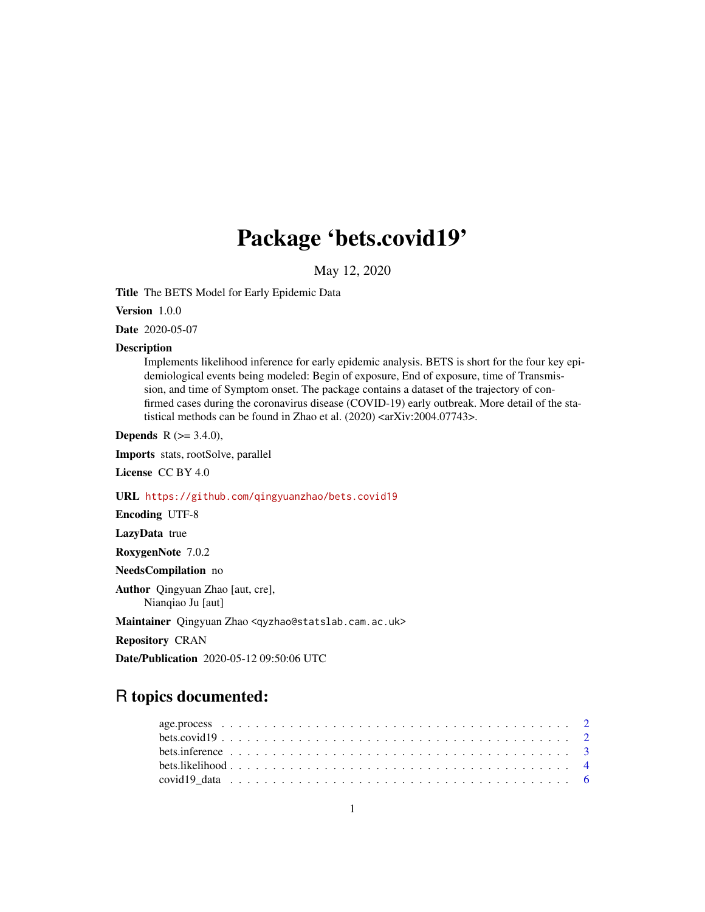# Package 'bets.covid19'

May 12, 2020

Title The BETS Model for Early Epidemic Data

Version 1.0.0

Date 2020-05-07

#### Description

Implements likelihood inference for early epidemic analysis. BETS is short for the four key epidemiological events being modeled: Begin of exposure, End of exposure, time of Transmission, and time of Symptom onset. The package contains a dataset of the trajectory of confirmed cases during the coronavirus disease (COVID-19) early outbreak. More detail of the statistical methods can be found in Zhao et al. (2020) <arXiv:2004.07743>.

**Depends** R  $(>= 3.4.0)$ ,

Imports stats, rootSolve, parallel

License CC BY 4.0

URL <https://github.com/qingyuanzhao/bets.covid19>

Encoding UTF-8

LazyData true

RoxygenNote 7.0.2

NeedsCompilation no

Author Qingyuan Zhao [aut, cre], Nianqiao Ju [aut]

Maintainer Qingyuan Zhao <qyzhao@statslab.cam.ac.uk>

Repository CRAN

Date/Publication 2020-05-12 09:50:06 UTC

# R topics documented: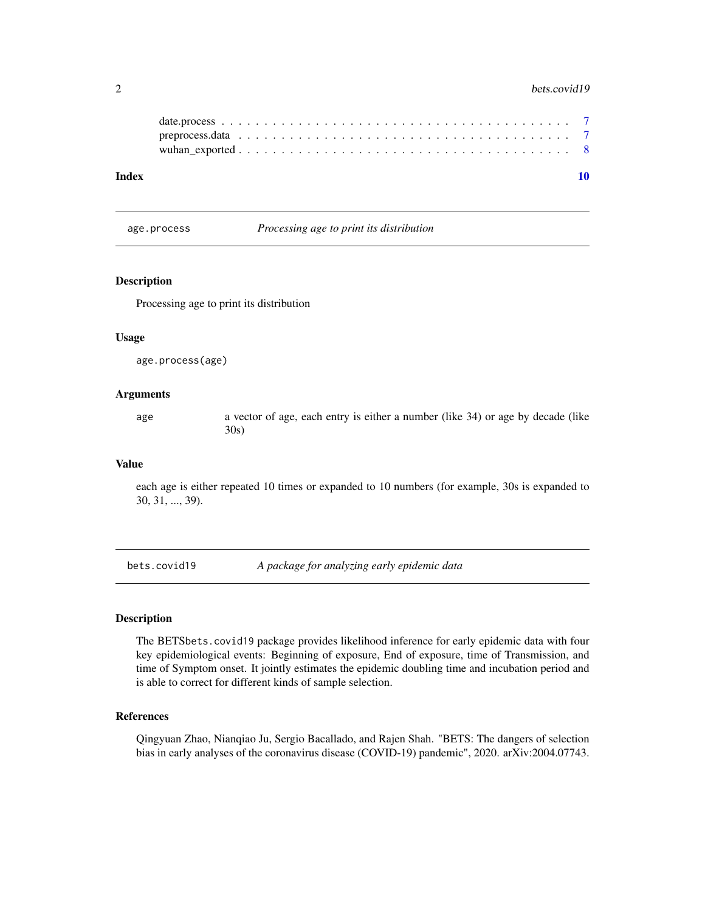#### <span id="page-1-0"></span> $2 \t\t best.covid19$

| Index |  |  |  |  |  |  |  |  |  |  |  |  |  |  |  |  |
|-------|--|--|--|--|--|--|--|--|--|--|--|--|--|--|--|--|
|       |  |  |  |  |  |  |  |  |  |  |  |  |  |  |  |  |
|       |  |  |  |  |  |  |  |  |  |  |  |  |  |  |  |  |
|       |  |  |  |  |  |  |  |  |  |  |  |  |  |  |  |  |
|       |  |  |  |  |  |  |  |  |  |  |  |  |  |  |  |  |

age.process *Processing age to print its distribution*

#### Description

Processing age to print its distribution

#### Usage

age.process(age)

#### Arguments

age a vector of age, each entry is either a number (like 34) or age by decade (like 30s)

#### Value

each age is either repeated 10 times or expanded to 10 numbers (for example, 30s is expanded to 30, 31, ..., 39).

bets.covid19 *A package for analyzing early epidemic data*

# Description

The BETSbets.covid19 package provides likelihood inference for early epidemic data with four key epidemiological events: Beginning of exposure, End of exposure, time of Transmission, and time of Symptom onset. It jointly estimates the epidemic doubling time and incubation period and is able to correct for different kinds of sample selection.

#### References

Qingyuan Zhao, Nianqiao Ju, Sergio Bacallado, and Rajen Shah. "BETS: The dangers of selection bias in early analyses of the coronavirus disease (COVID-19) pandemic", 2020. arXiv:2004.07743.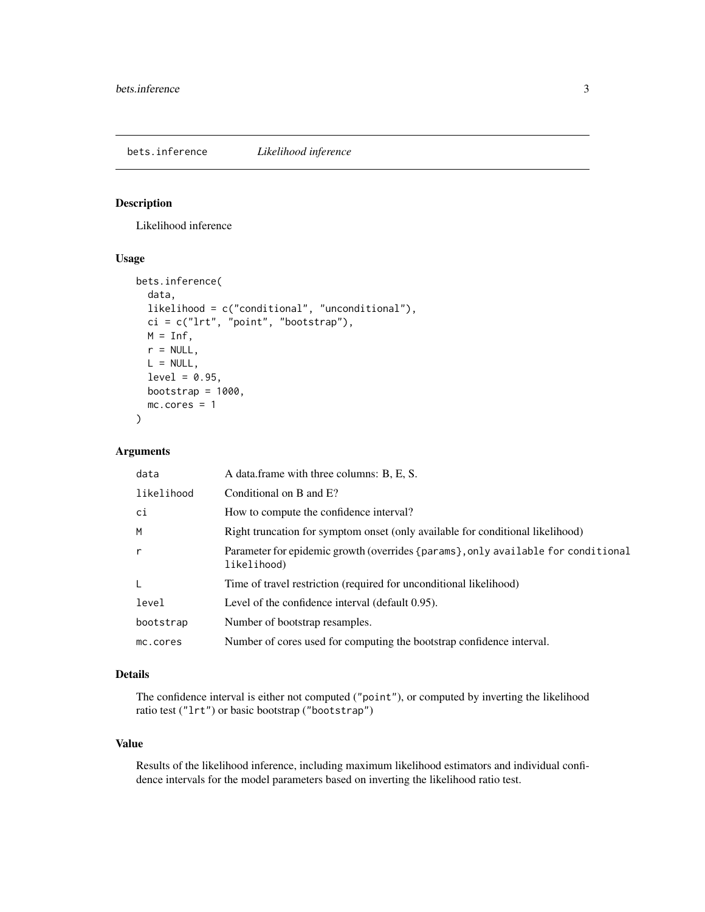<span id="page-2-0"></span>bets.inference *Likelihood inference*

#### Description

Likelihood inference

# Usage

```
bets.inference(
  data,
  likelihood = c("conditional", "unconditional"),
 ci = c("lrt", "point", "bootstrap"),M = Inf,
  r = NULL,L = NULL,level = 0.95,bootstrap = 1000,
 mc.cores = 1
)
```
# Arguments

| data         | A data frame with three columns: B, E, S.                                                        |
|--------------|--------------------------------------------------------------------------------------------------|
| likelihood   | Conditional on B and E?                                                                          |
| ci           | How to compute the confidence interval?                                                          |
| M            | Right truncation for symptom onset (only available for conditional likelihood)                   |
| $\mathsf{r}$ | Parameter for epidemic growth (overrides {params}, only available for conditional<br>likelihood) |
| L            | Time of travel restriction (required for unconditional likelihood)                               |
| level        | Level of the confidence interval (default 0.95).                                                 |
| bootstrap    | Number of bootstrap resamples.                                                                   |
| mc.cores     | Number of cores used for computing the bootstrap confidence interval.                            |

#### Details

The confidence interval is either not computed ("point"), or computed by inverting the likelihood ratio test ("lrt") or basic bootstrap ("bootstrap")

#### Value

Results of the likelihood inference, including maximum likelihood estimators and individual confidence intervals for the model parameters based on inverting the likelihood ratio test.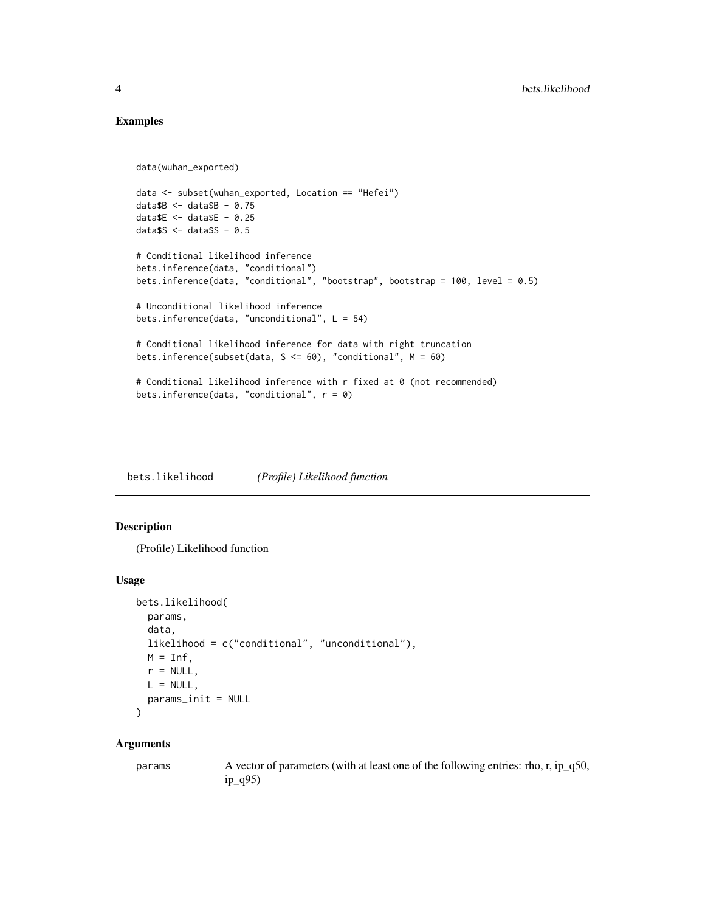# Examples

```
data(wuhan_exported)
data <- subset(wuhan_exported, Location == "Hefei")
data$B < - data$B - 0.75data$E <- data$E - 0.25
data$S < - data$S - 0.5# Conditional likelihood inference
bets.inference(data, "conditional")
bets.inference(data, "conditional", "bootstrap", bootstrap = 100, level = 0.5)
# Unconditional likelihood inference
bets.inference(data, "unconditional", L = 54)
# Conditional likelihood inference for data with right truncation
bets.inference(subset(data, S <= 60), "conditional", M = 60)
# Conditional likelihood inference with r fixed at 0 (not recommended)
bets.inference(data, "conditional", r = 0)
```
bets.likelihood *(Profile) Likelihood function*

#### Description

(Profile) Likelihood function

#### Usage

```
bets.likelihood(
 params,
  data,
 likelihood = c("conditional", "unconditional"),
 M = \text{Inf.}r = NULL,L = NULL,params_init = NULL
)
```
#### Arguments

params A vector of parameters (with at least one of the following entries: rho, r, ip\_q50, ip\_q95)

<span id="page-3-0"></span>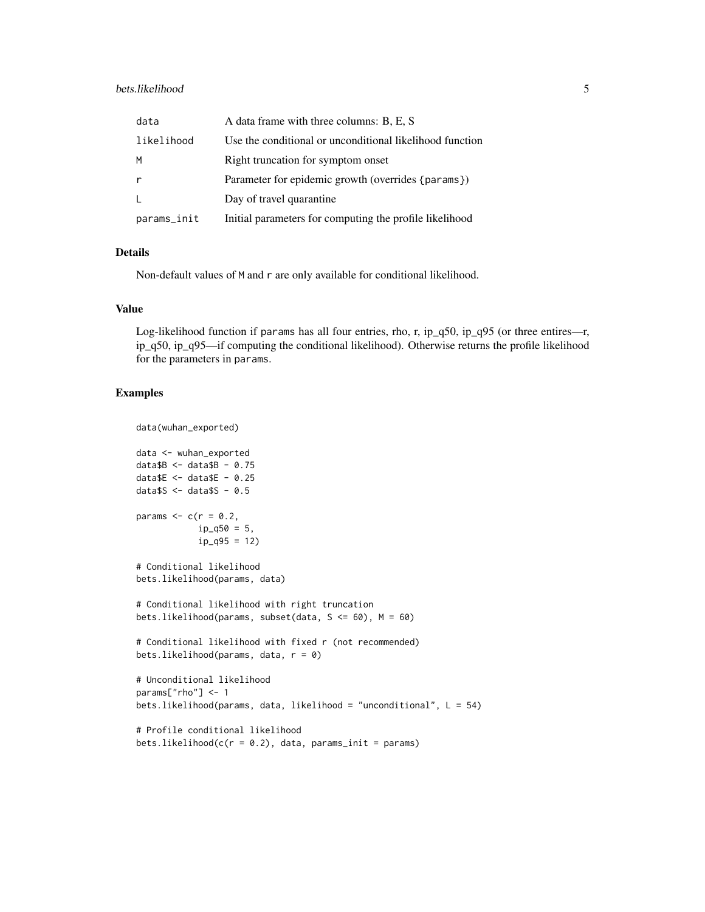#### bets.likelihood 5

| data        | A data frame with three columns: B, E, S                 |
|-------------|----------------------------------------------------------|
| likelihood  | Use the conditional or unconditional likelihood function |
| M           | Right truncation for symptom onset                       |
| r           | Parameter for epidemic growth (overrides {params})       |
| L           | Day of travel quarantine                                 |
| params_init | Initial parameters for computing the profile likelihood  |

#### Details

Non-default values of M and r are only available for conditional likelihood.

#### Value

Log-likelihood function if params has all four entries, rho, r, ip\_q50, ip\_q95 (or three entires—r, ip\_q50, ip\_q95—if computing the conditional likelihood). Otherwise returns the profile likelihood for the parameters in params.

# Examples

```
data(wuhan_exported)
data <- wuhan_exported
data$B < - data$B - 0.75dataE \le - dataE - 0.25data$S < - data$S - 0.5params \leq c(r = 0.2,
            ip_q50 = 5,
            ip_{q95} = 12# Conditional likelihood
bets.likelihood(params, data)
# Conditional likelihood with right truncation
bets.likelihood(params, subset(data, S <= 60), M = 60)
# Conditional likelihood with fixed r (not recommended)
bets.likelihood(params, data, r = 0)
# Unconditional likelihood
params["rho"] <- 1
bets.likelihood(params, data, likelihood = "unconditional", L = 54)
# Profile conditional likelihood
bets.likelihood(c(r = 0.2), data, params_init = params)
```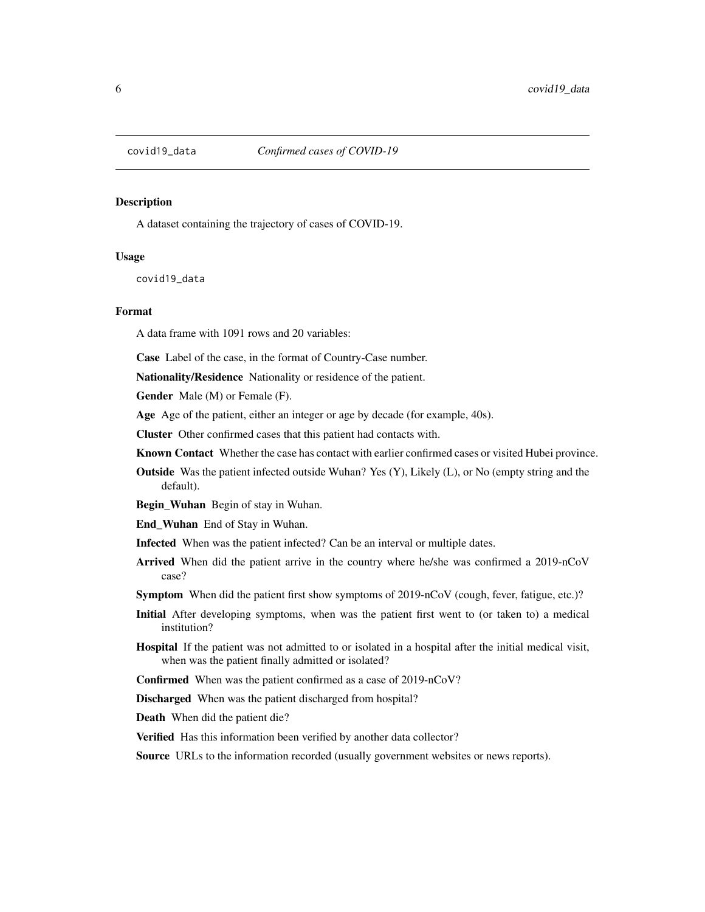<span id="page-5-0"></span>

# Description

A dataset containing the trajectory of cases of COVID-19.

#### Usage

covid19\_data

#### Format

A data frame with 1091 rows and 20 variables:

Case Label of the case, in the format of Country-Case number.

Nationality/Residence Nationality or residence of the patient.

Gender Male (M) or Female (F).

Age Age of the patient, either an integer or age by decade (for example, 40s).

Cluster Other confirmed cases that this patient had contacts with.

Known Contact Whether the case has contact with earlier confirmed cases or visited Hubei province.

Outside Was the patient infected outside Wuhan? Yes (Y), Likely (L), or No (empty string and the default).

Begin\_Wuhan Begin of stay in Wuhan.

End\_Wuhan End of Stay in Wuhan.

- Infected When was the patient infected? Can be an interval or multiple dates.
- Arrived When did the patient arrive in the country where he/she was confirmed a 2019-nCoV case?
- Symptom When did the patient first show symptoms of 2019-nCoV (cough, fever, fatigue, etc.)?
- Initial After developing symptoms, when was the patient first went to (or taken to) a medical institution?
- Hospital If the patient was not admitted to or isolated in a hospital after the initial medical visit, when was the patient finally admitted or isolated?
- Confirmed When was the patient confirmed as a case of 2019-nCoV?

Discharged When was the patient discharged from hospital?

Death When did the patient die?

Verified Has this information been verified by another data collector?

**Source** URLs to the information recorded (usually government websites or news reports).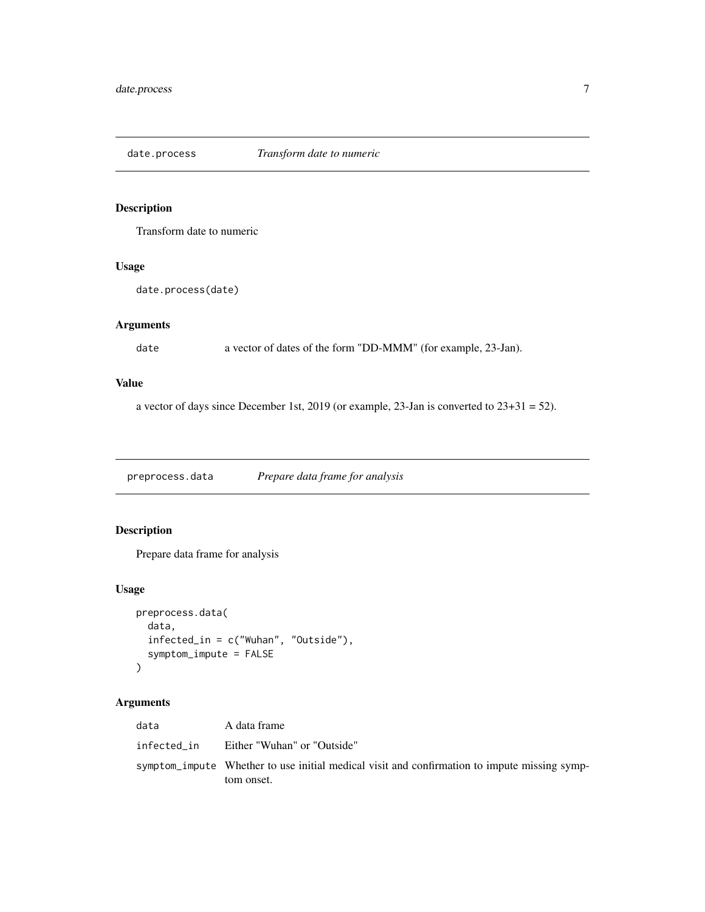<span id="page-6-0"></span>

# Description

Transform date to numeric

# Usage

date.process(date)

# Arguments

date a vector of dates of the form "DD-MMM" (for example, 23-Jan).

#### Value

a vector of days since December 1st, 2019 (or example, 23-Jan is converted to  $23+31 = 52$ ).

preprocess.data *Prepare data frame for analysis*

# Description

Prepare data frame for analysis

# Usage

```
preprocess.data(
  data,
  infected_in = c("Wuhan", "Outside"),
  symptom_impute = FALSE
\mathcal{L}
```
# Arguments

| data        | A data frame                                                                                 |
|-------------|----------------------------------------------------------------------------------------------|
| infected in | Either "Wuhan" or "Outside"                                                                  |
|             | symptom_impute Whether to use initial medical visit and confirmation to impute missing symp- |
|             | tom onset.                                                                                   |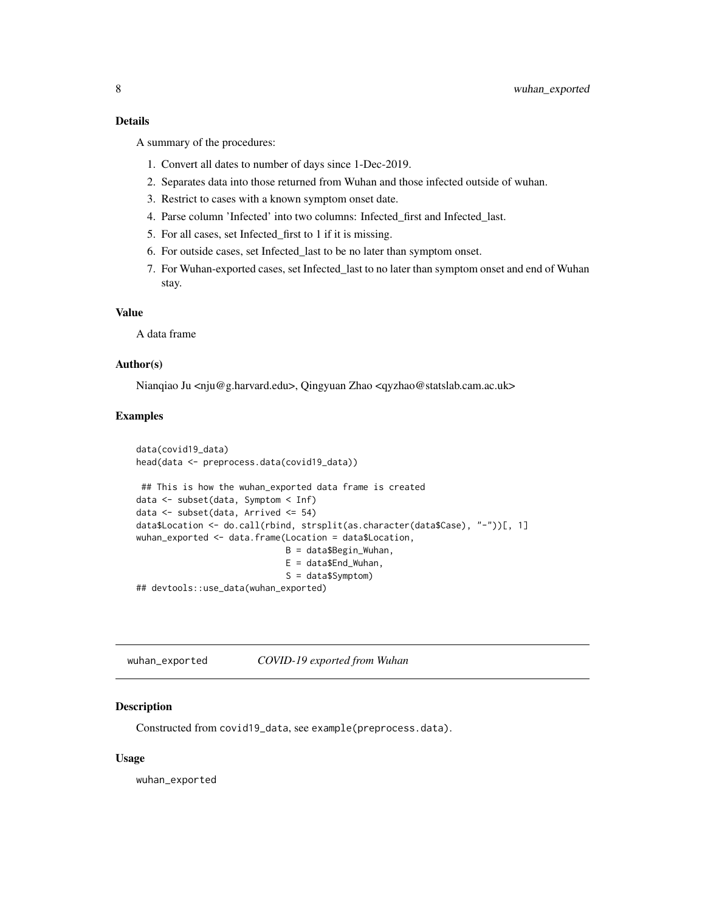#### <span id="page-7-0"></span>Details

A summary of the procedures:

- 1. Convert all dates to number of days since 1-Dec-2019.
- 2. Separates data into those returned from Wuhan and those infected outside of wuhan.
- 3. Restrict to cases with a known symptom onset date.
- 4. Parse column 'Infected' into two columns: Infected\_first and Infected\_last.
- 5. For all cases, set Infected\_first to 1 if it is missing.
- 6. For outside cases, set Infected\_last to be no later than symptom onset.
- 7. For Wuhan-exported cases, set Infected\_last to no later than symptom onset and end of Wuhan stay.

#### Value

A data frame

#### Author(s)

Nianqiao Ju <nju@g.harvard.edu>, Qingyuan Zhao <qyzhao@statslab.cam.ac.uk>

#### Examples

```
data(covid19_data)
head(data <- preprocess.data(covid19_data))
## This is how the wuhan_exported data frame is created
data <- subset(data, Symptom < Inf)
data <- subset(data, Arrived <= 54)
data$Location <- do.call(rbind, strsplit(as.character(data$Case), "-"))[, 1]
wuhan_exported <- data.frame(Location = data$Location,
                             B = data$Begin_Wuhan,
                             E = data$End_Wuhan,
                             S = data$Symptom)
```
## devtools::use\_data(wuhan\_exported)

wuhan\_exported *COVID-19 exported from Wuhan*

#### Description

Constructed from covid19\_data, see example(preprocess.data).

#### Usage

wuhan\_exported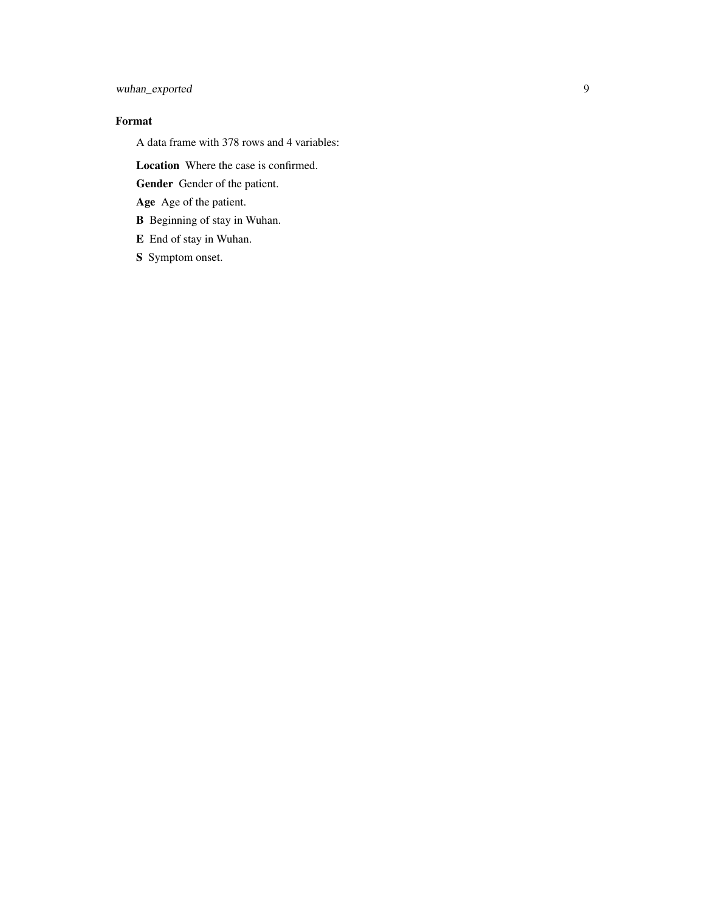# wuhan\_exported

# Format

A data frame with 378 rows and 4 variables:

Location Where the case is confirmed.

Gender Gender of the patient.

Age Age of the patient.

B Beginning of stay in Wuhan.

E End of stay in Wuhan.

S Symptom onset.